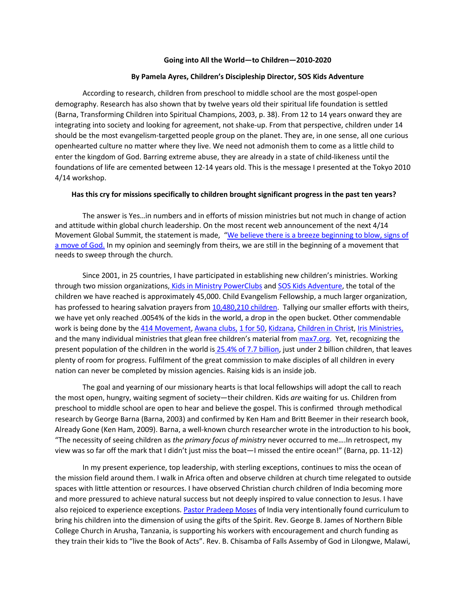## **Going into All the World—to Children—2010-2020**

## **By Pamela Ayres, Children's Discipleship Director, SOS Kids Adventure**

According to research, children from preschool to middle school are the most gospel-open demography. Research has also shown that by twelve years old their spiritual life foundation is settled (Barna, Transforming Children into Spiritual Champions, 2003, p. 38). From 12 to 14 years onward they are integrating into society and looking for agreement, not shake-up. From that perspective, children under 14 should be the most evangelism-targetted people group on the planet. They are, in one sense, all one curious openhearted culture no matter where they live. We need not admonish them to come as a little child to enter the kingdom of God. Barring extreme abuse, they are already in a state of child-likeness until the foundations of life are cemented between 12-14 years old. This is the message I presented at the Tokyo 2010 4/14 workshop.

## **Has this cry for missions specifically to children brought significant progress in the past ten years?**

The answer is Yes…in numbers and in efforts of mission ministries but not much in change of action and attitude within global church leadership. On the most recent web announcement of the next 4/14 Movement Global Summit, the statement is made, "[We believe there is a breeze beginning to blow, signs of](https://414movement.com/who-we-are/)  [a move of God.](https://414movement.com/who-we-are/) In my opinion and seemingly from theirs, we are still in the beginning of a movement that needs to sweep through the church.

Since 2001, in 25 countries, I have participated in establishing new children's ministries. Working through two mission organizations, [Kids in Ministry](https://kidsinministry.org/what-is-a-powerclub/) PowerClubs and [SOS Kids Adventure,](https://sosadventure.org/sos-kids-adventure/) the total of the children we have reached is approximately 45,000. Child Evangelism Fellowship, a much larger organization, has professed to hearing salvation prayers from [10,480,210 children.](https://youtu.be/3cPciBN1cac) Tallying our smaller efforts with theirs, we have yet only reached .0054% of the kids in the world, a drop in the open bucket. Other commendable work is being done by the [414 Movement,](https://414movement.com/who-we-are/) [Awana clubs,](https://www.awana.org/international-ministries/) [1 for 50,](https://1for50.net/) [Kidzana,](https://kidzana.org/) [Children in Christ](https://childrenic.org/), [Iris Ministries,](https://www.irisglobal.org/) and the many individual ministries that glean free children's material from [max7.org.](https://www.max7.org/en) Yet, recognizing the present population of the children in the world is 25.4% of [7.7 billion,](https://www.worldometers.info/demographics/world-demographics/#broad-age) just under 2 billion children, that leaves plenty of room for progress. Fulfilment of the great commission to make disciples of all children in every nation can never be completed by mission agencies. Raising kids is an inside job.

The goal and yearning of our missionary hearts is that local fellowships will adopt the call to reach the most open, hungry, waiting segment of society—their children. Kids *are* waiting for us. Children from preschool to middle school are open to hear and believe the gospel. This is confirmed through methodical research by George Barna (Barna, 2003) and confirmed by Ken Ham and Britt Beemer in their research book, Already Gone (Ken Ham, 2009). Barna, a well-known church researcher wrote in the introduction to his book, "The necessity of seeing children as *the primary focus of ministry* never occurred to me….In retrospect, my view was so far off the mark that I didn't just miss the boat—I missed the entire ocean!" (Barna, pp. 11-12)

In my present experience, top leadership, with sterling exceptions, continues to miss the ocean of the mission field around them. I walk in Africa often and observe children at church time relegated to outside spaces with little attention or resources. I have observed Christian church children of India becoming more and more pressured to achieve natural success but not deeply inspired to value connection to Jesus. I have also rejoiced to experience exceptions. [Pastor Pradeep Moses](https://vimeo.com/371697839) of India very intentionally found curriculum to bring his children into the dimension of using the gifts of the Spirit. Rev. George B. James of Northern Bible College Church in Arusha, Tanzania, is supporting his workers with encouragement and church funding as they train their kids to "live the Book of Acts". Rev. B. Chisamba of Falls Assemby of God in Lilongwe, Malawi,